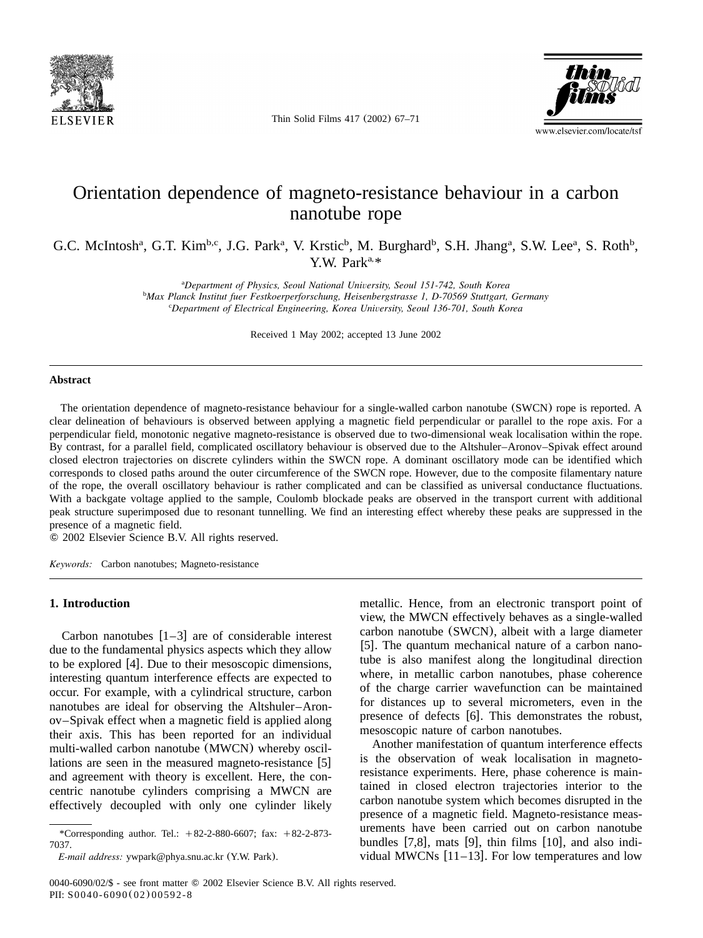

Thin Solid Films 417 (2002) 67–71



# Orientation dependence of magneto-resistance behaviour in a carbon nanotube rope

G.C. McIntosh<sup>a</sup>, G.T. Kim<sup>b,c</sup>, J.G. Park<sup>a</sup>, V. Krstic<sup>b</sup>, M. Burghard<sup>b</sup>, S.H. Jhang<sup>a</sup>, S.W. Lee<sup>a</sup>, S. Roth<sup>b</sup>, Y.W. Park<sup>a,\*</sup>

> <sup>a</sup>Department of Physics, Seoul National University, Seoul 151-742, South Korea *Max Planck Institut fuer Festkoerperforschung, Heisenbergstrasse 1, D-70569 Stuttgart, Germany* <sup>b</sup>

*Department of Electrical Engineering, Korea University, Seoul 136-701, South Korea* <sup>c</sup>

Received 1 May 2002; accepted 13 June 2002

## **Abstract**

The orientation dependence of magneto-resistance behaviour for a single-walled carbon nanotube (SWCN) rope is reported.A clear delineation of behaviours is observed between applying a magnetic field perpendicular or parallel to the rope axis.For a perpendicular field, monotonic negative magneto-resistance is observed due to two-dimensional weak localisation within the rope. By contrast, for a parallel field, complicated oscillatory behaviour is observed due to the Altshuler–Aronov–Spivak effect around closed electron trajectories on discrete cylinders within the SWCN rope.A dominant oscillatory mode can be identified which corresponds to closed paths around the outer circumference of the SWCN rope.However, due to the composite filamentary nature of the rope, the overall oscillatory behaviour is rather complicated and can be classified as universal conductance fluctuations. With a backgate voltage applied to the sample, Coulomb blockade peaks are observed in the transport current with additional peak structure superimposed due to resonant tunnelling.We find an interesting effect whereby these peaks are suppressed in the presence of a magnetic field.

2002 Elsevier Science B.V. All rights reserved.

*Keywords:* Carbon nanotubes; Magneto-resistance

# **1. Introduction**

Carbon nanotubes  $[1-3]$  are of considerable interest due to the fundamental physics aspects which they allow to be explored  $[4]$  $[4]$  $[4]$ . Due to their mesoscopic dimensions, interesting quantum interference effects are expected to occur.For example, with a cylindrical structure, carbon nanotubes are ideal for observing the Altshuler–Aronov–Spivak effect when a magnetic field is applied along their axis.This has been reported for an individual multi-walled carbon nanotube (MWCN) whereby oscillations are seen in the measured magneto-resistance  $[5]$  $[5]$  $[5]$ and agreement with theory is excellent. Here, the concentric nanotube cylinders comprising a MWCN are effectively decoupled with only one cylinder likely

metallic. Hence, from an electronic transport point of view, the MWCN effectively behaves as a single-walled carbon nanotube (SWCN), albeit with a large diameter [[5](#page-4-0)]. The quantum mechanical nature of a carbon nanotube is also manifest along the longitudinal direction where, in metallic carbon nanotubes, phase coherence of the charge carrier wavefunction can be maintained for distances up to several micrometers, even in the presence of defects [[6](#page-4-0)]. This demonstrates the robust, mesoscopic nature of carbon nanotubes.

Another manifestation of quantum interference effects is the observation of weak localisation in magnetoresistance experiments. Here, phase coherence is maintained in closed electron trajectories interior to the carbon nanotube system which becomes disrupted in the presence of a magnetic field. Magneto-resistance measurements have been carried out on carbon nanotube bundles [[7,8](#page-4-0)], mats [[9](#page-4-0)], thin films [[10](#page-4-0)], and also individual MWCNs  $[11–13]$  $[11–13]$  $[11–13]$ . For low temperatures and low

<sup>\*</sup>Corresponding author. Tel.:  $+82-2-880-6607$ ; fax:  $+82-2-873-$ 7037.

*E-mail address:* ywpark@phya.snu.ac.kr (Y.W. Park).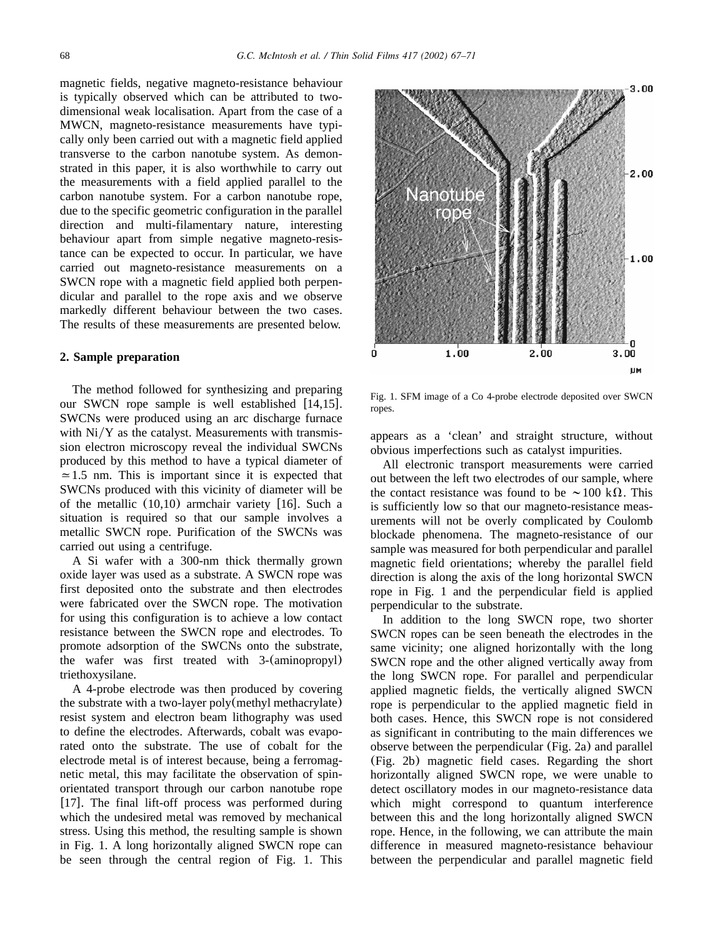<span id="page-1-0"></span>magnetic fields, negative magneto-resistance behaviour is typically observed which can be attributed to twodimensional weak localisation. Apart from the case of a MWCN, magneto-resistance measurements have typically only been carried out with a magnetic field applied transverse to the carbon nanotube system.As demonstrated in this paper, it is also worthwhile to carry out the measurements with a field applied parallel to the carbon nanotube system.For a carbon nanotube rope, due to the specific geometric configuration in the parallel direction and multi-filamentary nature, interesting behaviour apart from simple negative magneto-resistance can be expected to occur.In particular, we have carried out magneto-resistance measurements on a SWCN rope with a magnetic field applied both perpendicular and parallel to the rope axis and we observe markedly different behaviour between the two cases. The results of these measurements are presented below.

# **2. Sample preparation**

The method followed for synthesizing and preparing our SWCN rope sample is well established  $[14,15]$  $[14,15]$  $[14,15]$ . SWCNs were produced using an arc discharge furnace with  $Ni/Y$  as the catalyst. Measurements with transmission electron microscopy reveal the individual SWCNs produced by this method to have a typical diameter of  $\approx$  1.5 nm. This is important since it is expected that SWCNs produced with this vicinity of diameter will be of the metallic  $(10,10)$  armchair variety [[16](#page-4-0)]. Such a situation is required so that our sample involves a metallic SWCN rope. Purification of the SWCNs was carried out using a centrifuge.

A Si wafer with a 300-nm thick thermally grown oxide layer was used as a substrate. A SWCN rope was first deposited onto the substrate and then electrodes were fabricated over the SWCN rope. The motivation for using this configuration is to achieve a low contact resistance between the SWCN rope and electrodes.To promote adsorption of the SWCNs onto the substrate, the wafer was first treated with 3-(aminopropyl) triethoxysilane.

A 4-probe electrode was then produced by covering the substrate with a two-layer poly(methyl methacrylate) resist system and electron beam lithography was used to define the electrodes. Afterwards, cobalt was evaporated onto the substrate. The use of cobalt for the electrode metal is of interest because, being a ferromagnetic metal, this may facilitate the observation of spinorientated transport through our carbon nanotube rope [[17](#page-4-0)]. The final lift-off process was performed during which the undesired metal was removed by mechanical stress.Using this method, the resulting sample is shown in Fig.1.A long horizontally aligned SWCN rope can be seen through the central region of Fig. 1. This



Fig.1.SFM image of a Co 4-probe electrode deposited over SWCN ropes.

appears as a 'clean' and straight structure, without obvious imperfections such as catalyst impurities.

All electronic transport measurements were carried out between the left two electrodes of our sample, where the contact resistance was found to be  $\sim 100 \text{ k}\Omega$ . This is sufficiently low so that our magneto-resistance measurements will not be overly complicated by Coulomb blockade phenomena.The magneto-resistance of our sample was measured for both perpendicular and parallel magnetic field orientations; whereby the parallel field direction is along the axis of the long horizontal SWCN rope in Fig.1 and the perpendicular field is applied perpendicular to the substrate.

In addition to the long SWCN rope, two shorter SWCN ropes can be seen beneath the electrodes in the same vicinity; one aligned horizontally with the long SWCN rope and the other aligned vertically away from the long SWCN rope. For parallel and perpendicular applied magnetic fields, the vertically aligned SWCN rope is perpendicular to the applied magnetic field in both cases. Hence, this SWCN rope is not considered as significant in contributing to the main differences we observe between the perpendicular ([Fig.2a](#page-2-0)) and parallel (Fig. 2b) magnetic field cases. Regarding the short horizontally aligned SWCN rope, we were unable to detect oscillatory modes in our magneto-resistance data which might correspond to quantum interference between this and the long horizontally aligned SWCN rope. Hence, in the following, we can attribute the main difference in measured magneto-resistance behaviour between the perpendicular and parallel magnetic field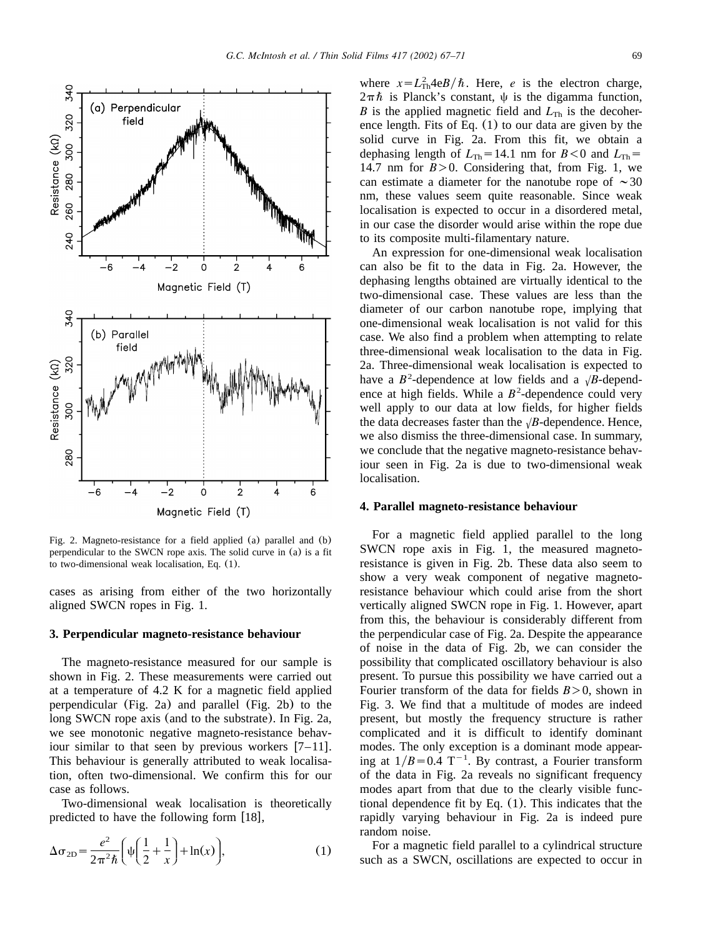<span id="page-2-0"></span>

Fig.2.Magneto-resistance for a field applied (a) parallel and (b) perpendicular to the SWCN rope axis.The solid curve in (a) is a fit to two-dimensional weak localisation, Eq. (1).

cases as arising from either of the two horizontally aligned SWCN ropes in [Fig.1.](#page-1-0)

#### **3. Perpendicular magneto-resistance behaviour**

The magneto-resistance measured for our sample is shown in Fig. 2. These measurements were carried out at a temperature of 4.2 K for a magnetic field applied perpendicular (Fig.2a) and parallel (Fig.2b) to the long SWCN rope axis (and to the substrate). In Fig. 2a, we see monotonic negative magneto-resistance behaviour similar to that seen by previous workers  $[7-11]$ . This behaviour is generally attributed to weak localisation, often two-dimensional.We confirm this for our case as follows.

Two-dimensional weak localisation is theoretically predicted to have the following form  $[18]$  $[18]$  $[18]$ ,

$$
\Delta \sigma_{2D} = \frac{e^2}{2\pi^2 \hbar} \left( \psi \left( \frac{1}{2} + \frac{1}{x} \right) + \ln(x) \right),\tag{1}
$$

where  $x = L_{\text{Th}}^2 4eB/\hbar$ . Here, *e* is the electron charge,  $2\pi\hbar$  is Planck's constant,  $\psi$  is the digamma function, *B* is the applied magnetic field and  $L_{\text{Th}}$  is the decoherence length. Fits of Eq.  $(1)$  to our data are given by the solid curve in Fig. 2a. From this fit, we obtain a dephasing length of  $L_{\text{Th}} = 14.1$  nm for  $B < 0$  and  $L_{\text{Th}} =$ 14.7 nm for  $B > 0$ . Considering that, from Fig. 1, we can estimate a diameter for the nanotube rope of  $\sim$ 30 nm, these values seem quite reasonable. Since weak localisation is expected to occur in a disordered metal, in our case the disorder would arise within the rope due to its composite multi-filamentary nature.

An expression for one-dimensional weak localisation can also be fit to the data in Fig.2a.However, the dephasing lengths obtained are virtually identical to the two-dimensional case.These values are less than the diameter of our carbon nanotube rope, implying that one-dimensional weak localisation is not valid for this case.We also find a problem when attempting to relate three-dimensional weak localisation to the data in Fig. 2a.Three-dimensional weak localisation is expected to have a  $B^2$ -dependence at low fields and a  $\sqrt{B}$ -dependence at high fields. While a  $B^2$ -dependence could very well apply to our data at low fields, for higher fields the data decreases faster than the  $\sqrt{B}$ -dependence. Hence, we also dismiss the three-dimensional case.In summary, we conclude that the negative magneto-resistance behaviour seen in Fig.2a is due to two-dimensional weak localisation.

#### **4. Parallel magneto-resistance behaviour**

For a magnetic field applied parallel to the long SWCN rope axis in Fig. 1, the measured magnetoresistance is given in Fig.2b.These data also seem to show a very weak component of negative magnetoresistance behaviour which could arise from the short vertically aligned SWCN rope in [Fig.1.](#page-1-0)However, apart from this, the behaviour is considerably different from the perpendicular case of Fig.2a.Despite the appearance of noise in the data of Fig.2b, we can consider the possibility that complicated oscillatory behaviour is also present.To pursue this possibility we have carried out a Fourier transform of the data for fields  $B > 0$ , shown in [Fig.3.](#page-3-0)We find that a multitude of modes are indeed present, but mostly the frequency structure is rather complicated and it is difficult to identify dominant modes.The only exception is a dominant mode appearing at  $1/B = 0.4$  T<sup>-1</sup>. By contrast, a Fourier transform of the data in Fig.2a reveals no significant frequency modes apart from that due to the clearly visible functional dependence fit by Eq.  $(1)$ . This indicates that the rapidly varying behaviour in Fig.2a is indeed pure random noise.

For a magnetic field parallel to a cylindrical structure such as a SWCN, oscillations are expected to occur in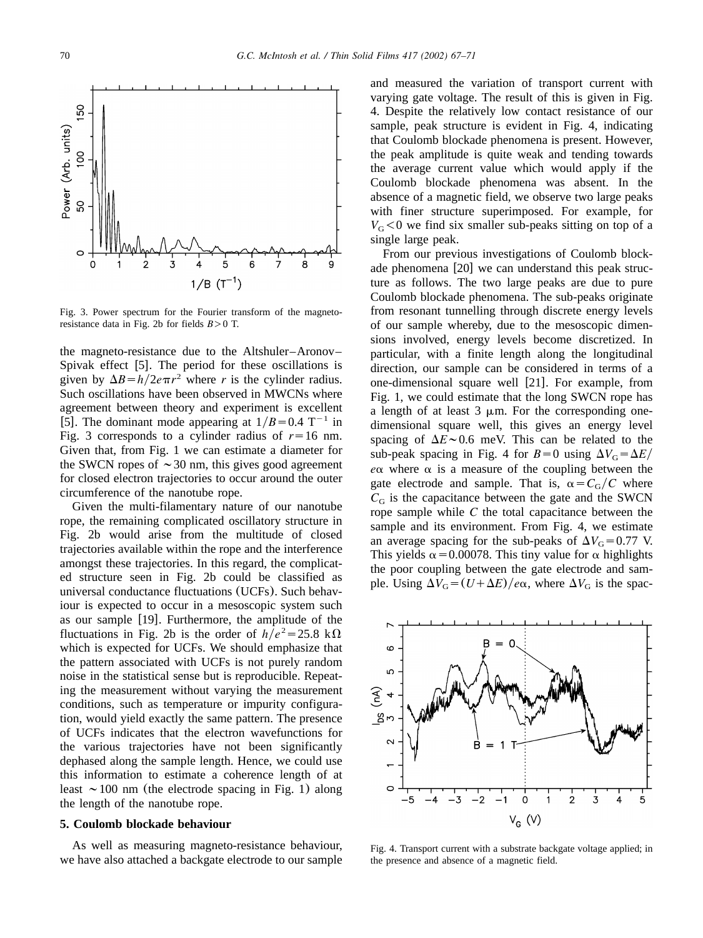<span id="page-3-0"></span>

Fig. 3. Power spectrum for the Fourier transform of the magnetoresistance data in Fig. 2b for fields  $B > 0$  T.

the magneto-resistance due to the Altshuler–Aronov– Spivak effect  $[5]$  $[5]$  $[5]$ . The period for these oscillations is given by  $\Delta B = h/2e\pi r^2$  where *r* is the cylinder radius. Such oscillations have been observed in MWCNs where agreement between theory and experiment is excellent [[5](#page-4-0)]. The dominant mode appearing at  $1/B = 0.4$  T<sup>-1</sup> in Fig. 3 corresponds to a cylinder radius of  $r=16$  nm. Given that, from [Fig.1](#page-1-0) we can estimate a diameter for the SWCN ropes of  $\sim$  30 nm, this gives good agreement for closed electron trajectories to occur around the outer circumference of the nanotube rope.

Given the multi-filamentary nature of our nanotube rope, the remaining complicated oscillatory structure in [Fig.2b](#page-2-0) would arise from the multitude of closed trajectories available within the rope and the interference amongst these trajectories.In this regard, the complicated structure seen in [Fig.2b](#page-2-0) could be classified as universal conductance fluctuations (UCFs). Such behaviour is expected to occur in a mesoscopic system such as our sample  $[19]$  $[19]$  $[19]$ . Furthermore, the amplitude of the fluctuations in Fig. 2b is the order of  $h/e^2 = 25.8 \text{ k}\Omega$ which is expected for UCFs. We should emphasize that the pattern associated with UCFs is not purely random noise in the statistical sense but is reproducible.Repeating the measurement without varying the measurement conditions, such as temperature or impurity configuration, would yield exactly the same pattern.The presence of UCFs indicates that the electron wavefunctions for the various trajectories have not been significantly dephased along the sample length. Hence, we could use this information to estimate a coherence length of at least  $\sim$  100 nm (the electrode spacing in Fig. 1) along the length of the nanotube rope.

# **5. Coulomb blockade behaviour**

As well as measuring magneto-resistance behaviour, we have also attached a backgate electrode to our sample and measured the variation of transport current with varying gate voltage. The result of this is given in Fig. 4.Despite the relatively low contact resistance of our sample, peak structure is evident in Fig. 4, indicating that Coulomb blockade phenomena is present.However, the peak amplitude is quite weak and tending towards the average current value which would apply if the Coulomb blockade phenomena was absent.In the absence of a magnetic field, we observe two large peaks with finer structure superimposed. For example, for  $V_G$ <0 we find six smaller sub-peaks sitting on top of a single large peak.

From our previous investigations of Coulomb block-ade phenomena [[20](#page-4-0)] we can understand this peak structure as follows.The two large peaks are due to pure Coulomb blockade phenomena.The sub-peaks originate from resonant tunnelling through discrete energy levels of our sample whereby, due to the mesoscopic dimensions involved, energy levels become discretized.In particular, with a finite length along the longitudinal direction, our sample can be considered in terms of a one-dimensional square well  $[21]$  $[21]$  $[21]$ . For example, from [Fig.1,](#page-1-0) we could estimate that the long SWCN rope has a length of at least  $3 \mu m$ . For the corresponding onedimensional square well, this gives an energy level spacing of  $\Delta E \sim 0.6$  meV. This can be related to the sub-peak spacing in Fig. 4 for  $B=0$  using  $\Delta V_G = \Delta E$  $e\alpha$  where  $\alpha$  is a measure of the coupling between the gate electrode and sample. That is,  $\alpha = C_G/C$  where  $C<sub>G</sub>$  is the capacitance between the gate and the SWCN rope sample while *C* the total capacitance between the sample and its environment. From Fig. 4, we estimate an average spacing for the sub-peaks of  $\Delta V_G = 0.77$  V. This yields  $\alpha$  = 0.00078. This tiny value for  $\alpha$  highlights the poor coupling between the gate electrode and sample. Using  $\Delta V_G = (U + \Delta E)/e\alpha$ , where  $\Delta V_G$  is the spac-



Fig.4.Transport current with a substrate backgate voltage applied; in the presence and absence of a magnetic field.